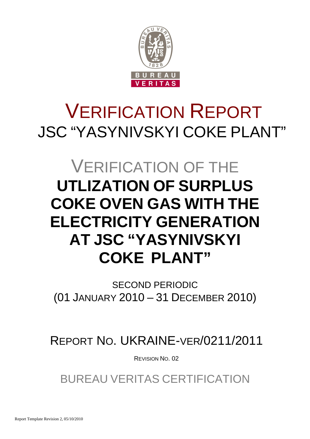

# VERIFICATION REPORT JSC "YASYNIVSKYI COKE PLANT"

## VERIFICATION OF THE **UTLIZATION OF SURPLUS COKE OVEN GAS WITH THE ELECTRICITY GENERATION AT JSC "YASYNIVSKYI COKE PLANT"**

SECOND PERIODIC (01 JANUARY 2010 – 31 DECEMBER 2010)

REPORT NO. UKRAINE-VER/0211/2011

REVISION NO. 02

BUREAU VERITAS CERTIFICATION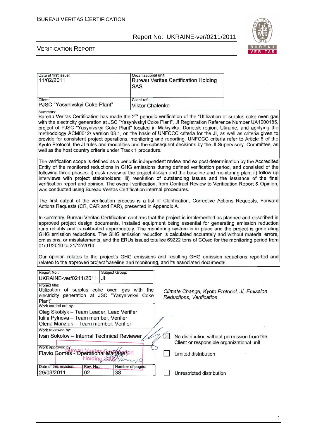

#### VERIFICATION REPORT

| Date of first issue:<br>11/02/2011                                                                                                                   |                 | Organizational unit:<br>SAS            | <b>Bureau Veritas Certification Holding</b>                                            |                                                                                                                                                                                                                                                                                                                                                                                                                                                                                                                                                                                                                                                                                                           |
|------------------------------------------------------------------------------------------------------------------------------------------------------|-----------------|----------------------------------------|----------------------------------------------------------------------------------------|-----------------------------------------------------------------------------------------------------------------------------------------------------------------------------------------------------------------------------------------------------------------------------------------------------------------------------------------------------------------------------------------------------------------------------------------------------------------------------------------------------------------------------------------------------------------------------------------------------------------------------------------------------------------------------------------------------------|
| Client:<br>PJSC "Yasynivskyi Coke Plant"                                                                                                             |                 | Client ref.:<br><b>Viktor Chalenko</b> |                                                                                        |                                                                                                                                                                                                                                                                                                                                                                                                                                                                                                                                                                                                                                                                                                           |
| Summary:<br>well as the host country criteria under Track 1 procedure.                                                                               |                 |                                        |                                                                                        | Bureau Veritas Certification has made the 2 <sup>nd</sup> periodic verification of the "Utilization of surplus coke oven gas<br>with the electricity generation at JSC "Yasynivskyi Coke Plant", JI Registration Reference Number UA1000185,<br>project of PJSC "Yasynivskyi Coke Plant" located in Makiyivka, Donetsk region, Ukraine, and applying the<br>methodology ACM0012/ version 03.1, on the basis of UNFCCC criteria for the JI, as well as criteria given to<br>provide for consistent project operations, monitoring and reporting. UNFCCC criteria refer to Article 6 of the<br>Kyoto Protocol, the JI rules and modalities and the subsequent decisions by the JI Supervisory Committee, as |
| was conducted using Bureau Veritas Certification internal procedures.                                                                                |                 |                                        |                                                                                        | The verification scope is defined as a periodic independent review and ex post determination by the Accredited<br>Entity of the monitored reductions in GHG emissions during defined verification period, and consisted of the<br>following three phases: i) desk review of the project design and the baseline and monitoring plan; ii) follow-up<br>interviews with project stakeholders; iii) resolution of outstanding issues and the issuance of the final<br>verification report and opinion. The overall verification, from Contract Review to Verification Report & Opinion,                                                                                                                      |
| Actions Requests (CR, CAR and FAR), presented in Appendix A.                                                                                         |                 |                                        |                                                                                        | The first output of the verification process is a list of Clarification, Corrective Actions Requests, Forward                                                                                                                                                                                                                                                                                                                                                                                                                                                                                                                                                                                             |
| 01/01/2010 to 31/12/2010.                                                                                                                            |                 |                                        |                                                                                        | In summary, Bureau Veritas Certification confirms that the project is implemented as planned and described in<br>approved project design documents. Installed equipment being essential for generating emission reduction<br>runs reliably and is calibrated appropriately. The monitoring system is in place and the project is generating<br>GHG emission reductions. The GHG emission reduction is calculated accurately and without material errors,<br>omissions, or misstatements, and the ERUs issued totalize 69222 tons of CO <sub>2</sub> eq for the monitoring period from                                                                                                                     |
|                                                                                                                                                      |                 |                                        | related to the approved project baseline and monitoring, and its associated documents. | Our opinion relates to the project's GHG emissions and resulting GHG emission reductions reported and                                                                                                                                                                                                                                                                                                                                                                                                                                                                                                                                                                                                     |
| Report No.:<br>UKRAINE-ver/0211/2011                                                                                                                 | JI              | Subject Group:                         |                                                                                        |                                                                                                                                                                                                                                                                                                                                                                                                                                                                                                                                                                                                                                                                                                           |
| Project title:<br>Utilization of surplus coke oven gas with the<br>electricity generation at JSC "Yasynivskyi Coke<br>Plant"<br>Work carried out by: |                 |                                        | Climate Change, Kyoto Protocol, JI, Emission<br>Reductions, Verification               |                                                                                                                                                                                                                                                                                                                                                                                                                                                                                                                                                                                                                                                                                                           |
| Oleg Skoblyk - Team Leader, Lead Verifier<br>Iuliia Pylnova - Team member, Verifier                                                                  |                 |                                        |                                                                                        |                                                                                                                                                                                                                                                                                                                                                                                                                                                                                                                                                                                                                                                                                                           |
| Olena Manziuk - Team member, Verifier<br>Work reviewed by:                                                                                           |                 |                                        |                                                                                        |                                                                                                                                                                                                                                                                                                                                                                                                                                                                                                                                                                                                                                                                                                           |
| Ivan Sokolov - Internal Technical Reviewer                                                                                                           |                 |                                        | No distribution without permission from the                                            |                                                                                                                                                                                                                                                                                                                                                                                                                                                                                                                                                                                                                                                                                                           |
|                                                                                                                                                      |                 |                                        | Client or responsible organizational unit                                              |                                                                                                                                                                                                                                                                                                                                                                                                                                                                                                                                                                                                                                                                                                           |
| Work approved by:<br>Flavio Gomes - Operational Manageron                                                                                            | Holding SAS/1/0 | $\sim$ 10                              | Limited distribution                                                                   |                                                                                                                                                                                                                                                                                                                                                                                                                                                                                                                                                                                                                                                                                                           |
| Date of this revision:                                                                                                                               | Rev. No.:       | Number of pages:                       |                                                                                        |                                                                                                                                                                                                                                                                                                                                                                                                                                                                                                                                                                                                                                                                                                           |
| 29/03/2011                                                                                                                                           | 02              | 38                                     | Unrestricted distribution                                                              |                                                                                                                                                                                                                                                                                                                                                                                                                                                                                                                                                                                                                                                                                                           |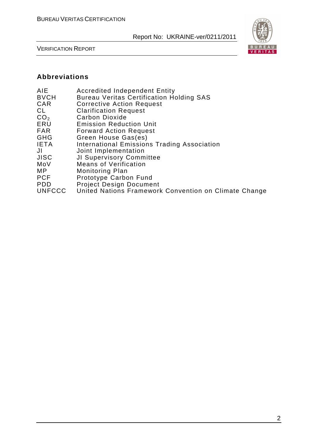

VERIFICATION REPORT

## **Abbreviations**

| AIE<br><b>BVCH</b><br>CAR<br>CL | <b>Accredited Independent Entity</b><br><b>Bureau Veritas Certification Holding SAS</b><br><b>Corrective Action Request</b><br><b>Clarification Request</b> |
|---------------------------------|-------------------------------------------------------------------------------------------------------------------------------------------------------------|
| CO <sub>2</sub>                 | Carbon Dioxide                                                                                                                                              |
| ERU                             | <b>Emission Reduction Unit</b>                                                                                                                              |
| <b>FAR</b>                      | <b>Forward Action Request</b>                                                                                                                               |
| GHG                             | Green House Gas(es)                                                                                                                                         |
| <b>IETA</b>                     | <b>International Emissions Trading Association</b>                                                                                                          |
| JI                              | Joint Implementation                                                                                                                                        |
| <b>JISC</b>                     | JI Supervisory Committee                                                                                                                                    |
| MoV                             | <b>Means of Verification</b>                                                                                                                                |
| MP.                             | Monitoring Plan                                                                                                                                             |
| <b>PCF</b>                      | Prototype Carbon Fund                                                                                                                                       |
| <b>PDD</b>                      | <b>Project Design Document</b>                                                                                                                              |
| <b>UNFCCC</b>                   | United Nations Framework Convention on Climate Change                                                                                                       |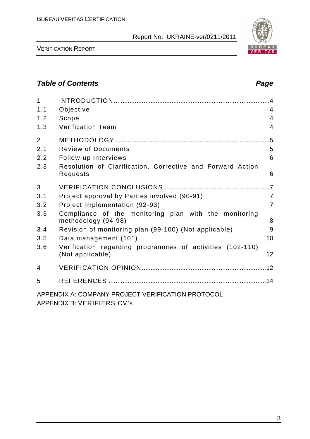

VERIFICATION REPORT

## **Table of Contents Page 2014**

| $\mathbf{1}$   |                                                                                            | $\overline{A}$ |
|----------------|--------------------------------------------------------------------------------------------|----------------|
| 1.1            | Objective                                                                                  | 4              |
| 1.2            | Scope                                                                                      | $\overline{4}$ |
| 1.3            | <b>Verification Team</b>                                                                   | 4              |
| $\overline{2}$ |                                                                                            | .5             |
| 2.1            | <b>Review of Documents</b>                                                                 | 5              |
| 2.2            | Follow-up Interviews                                                                       | 6              |
| 2.3            | Resolution of Clarification, Corrective and Forward Action<br>Requests                     | 6              |
| 3              |                                                                                            |                |
| 3.1            | Project approval by Parties involved (90-91)                                               | $\overline{7}$ |
| 3.2            | Project implementation (92-93)                                                             | $\overline{7}$ |
| 3.3            | Compliance of the monitoring plan with the monitoring<br>methodology (94-98)               | 8              |
| 3.4            | Revision of monitoring plan (99-100) (Not applicable)                                      | 9              |
| 3.5            | Data management (101)                                                                      | 10             |
| 3.6            | Verification regarding programmes of activities (102-110)<br>(Not applicable)              | 12             |
| 4              |                                                                                            |                |
| 5              |                                                                                            |                |
|                | APPENDIX A: COMPANY PROJECT VERIFICATION PROTOCOL<br>ADDFNDIV D. VEDIFITDCCIV <sub>2</sub> |                |

APPENDIX B: VERIFIERS CV's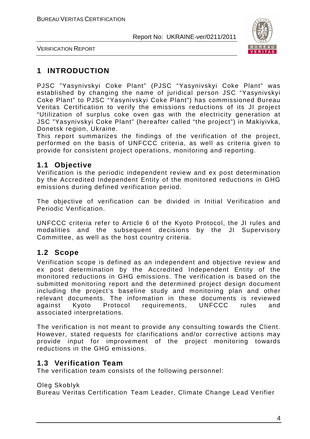

VERIFICATION REPORT

## **1 INTRODUCTION**

PJSC "Yasynivskyi Coke Plant" (PJSC "Yasynivskyi Coke Plant" was established by changing the name of juridical person JSC "Yasynivskyi Coke Plant" to PJSC "Yasynivskyi Coke Plant") has commissioned Bureau Veritas Certification to verify the emissions reductions of its JI project "Utilization of surplus coke oven gas with the electricity generation at JSC "Yasynivskyi Coke Plant" (hereafter called "the project") in Makiyivka, Donetsk region, Ukraine.

This report summarizes the findings of the verification of the project, performed on the basis of UNFCCC criteria, as well as criteria given to provide for consistent project operations, monitoring and reporting.

## **1.1 Objective**

Verification is the periodic independent review and ex post determination by the Accredited Independent Entity of the monitored reductions in GHG emissions during defined verification period.

The objective of verification can be divided in Initial Verification and Periodic Verification.

UNFCCC criteria refer to Article 6 of the Kyoto Protocol, the JI rules and modalities and the subsequent decisions by the JI Supervisory Committee, as well as the host country criteria.

## **1.2 Scope**

Verification scope is defined as an independent and objective review and ex post determination by the Accredited Independent Entity of the monitored reductions in GHG emissions. The verification is based on the submitted monitoring report and the determined project design document including the project's baseline study and monitoring plan and other relevant documents. The information in these documents is reviewed against Kyoto Protocol requirements, UNFCCC rules and associated interpretations.

The verification is not meant to provide any consulting towards the Client. However, stated requests for clarifications and/or corrective actions may provide input for improvement of the project monitoring towards reductions in the GHG emissions.

## **1.3 Verification Team**

The verification team consists of the following personnel:

#### Oleg Skoblyk

Bureau Veritas Certification Team Leader, Climate Change Lead Verifier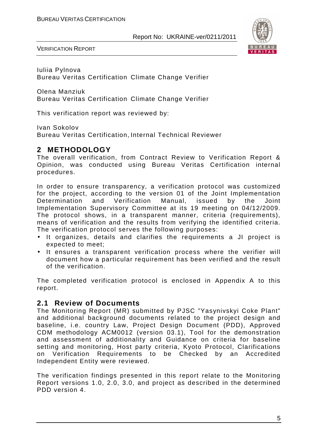

VERIFICATION REPORT

Iuliia Pylnova Bureau Veritas Certification Climate Change Verifier

Olena Manziuk Bureau Veritas Certification Climate Change Verifier

This verification report was reviewed by:

Ivan Sokolov

Bureau Veritas Certification, Internal Technical Reviewer

## **2 METHODOLOGY**

The overall verification, from Contract Review to Verification Report & Opinion, was conducted using Bureau Veritas Certification internal procedures.

In order to ensure transparency, a verification protocol was customized for the project, according to the version 01 of the Joint Implementation Determination and Verification Manual, issued by the Joint Implementation Supervisory Committee at its 19 meeting on 04/12/2009. The protocol shows, in a transparent manner, criteria (requirements), means of verification and the results from verifying the identified criteria. The verification protocol serves the following purposes:

- It organizes, details and clarifies the requirements a JI project is expected to meet;
- It ensures a transparent verification process where the verifier will document how a particular requirement has been verified and the result of the verification.

The completed verification protocol is enclosed in Appendix A to this report.

## **2.1 Review of Documents**

The Monitoring Report (MR) submitted by PJSC "Yasynivskyi Coke Plant" and additional background documents related to the project design and baseline, i.e. country Law, Project Design Document (PDD), Approved CDM methodology ACM0012 (version 03.1), Tool for the demonstration and assessment of additionality and Guidance on criteria for baseline setting and monitoring, Host party criteria, Kyoto Protocol, Clarifications on Verification Requirements to be Checked by an Accredited Independent Entity were reviewed.

The verification findings presented in this report relate to the Monitoring Report versions 1.0, 2.0, 3.0, and project as described in the determined PDD version 4.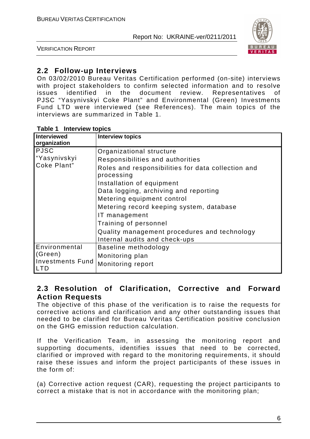

VERIFICATION REPORT

## **2.2 Follow-up Interviews**

On 03/02/2010 Bureau Veritas Certification performed (on-site) interviews with project stakeholders to confirm selected information and to resolve issues identified in the document review. Representatives of PJSC "Yasynivskyi Coke Plant" and Environmental (Green) Investments Fund LTD were interviewed (see References). The main topics of the interviews are summarized in Table 1.

| <b>Interviewed</b>                    | <b>Interview topics</b>                            |
|---------------------------------------|----------------------------------------------------|
| organization                          |                                                    |
| <b>PJSC</b>                           | Organizational structure                           |
| "Yasynivskyi                          | Responsibilities and authorities                   |
| Coke Plant"                           | Roles and responsibilities for data collection and |
|                                       | processing                                         |
|                                       | Installation of equipment                          |
|                                       | Data logging, archiving and reporting              |
|                                       | Metering equipment control                         |
|                                       | Metering record keeping system, database           |
|                                       | IT management                                      |
|                                       | Training of personnel                              |
|                                       | Quality management procedures and technology       |
|                                       | Internal audits and check-ups                      |
| Environmental                         | Baseline methodology                               |
| (Green)                               | Monitoring plan                                    |
| <b>Investments Fund</b><br><b>LTD</b> | Monitoring report                                  |

## **2.3 Resolution of Clarification, Corrective and Forward Action Requests**

The objective of this phase of the verification is to raise the requests for corrective actions and clarification and any other outstanding issues that needed to be clarified for Bureau Veritas Certification positive conclusion on the GHG emission reduction calculation.

If the Verification Team, in assessing the monitoring report and supporting documents, identifies issues that need to be corrected, clarified or improved with regard to the monitoring requirements, it should raise these issues and inform the project participants of these issues in the form of:

(a) Corrective action request (CAR), requesting the project participants to correct a mistake that is not in accordance with the monitoring plan;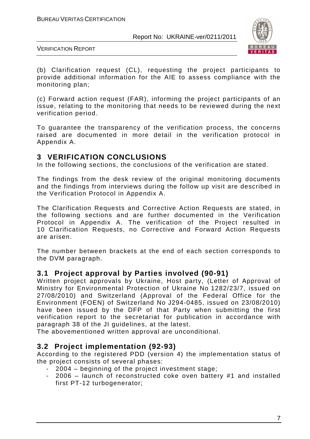

VERIFICATION REPORT

(b) Clarification request (CL), requesting the project participants to provide additional information for the AIE to assess compliance with the monitoring plan;

(c) Forward action request (FAR), informing the project participants of an issue, relating to the monitoring that needs to be reviewed during the next verification period.

To guarantee the transparency of the verification process, the concerns raised are documented in more detail in the verification protocol in Appendix A.

## **3 VERIFICATION CONCLUSIONS**

In the following sections, the conclusions of the verification are stated.

The findings from the desk review of the original monitoring documents and the findings from interviews during the follow up visit are described in the Verification Protocol in Appendix A.

The Clarification Requests and Corrective Action Requests are stated, in the following sections and are further documented in the Verification Protocol in Appendix A. The verification of the Project resulted in 10 Clarification Requests, no Corrective and Forward Action Requests are arisen.

The number between brackets at the end of each section corresponds to the DVM paragraph.

## **3.1 Project approval by Parties involved (90-91)**

Written project approvals by Ukraine, Host party, (Letter of Approval of Ministry for Environmental Protection of Ukraine No 1282/23/7, issued on 27/08/2010) and Switzerland (Approval of the Federal Office for the Environment (FOEN) of Switzerland No J294-0485, issued on 23/08/2010) have been issued by the DFP of that Party when submitting the first verification report to the secretariat for publication in accordance with paragraph 38 of the JI guidelines, at the latest.

The abovementioned written approval are unconditional.

## **3.2 Project implementation (92-93)**

According to the registered PDD (version 4) the implementation status of the project consists of several phases:

- 2004 beginning of the project investment stage;
- 2006 launch of reconstructed coke oven battery #1 and installed first PT-12 turbogenerator;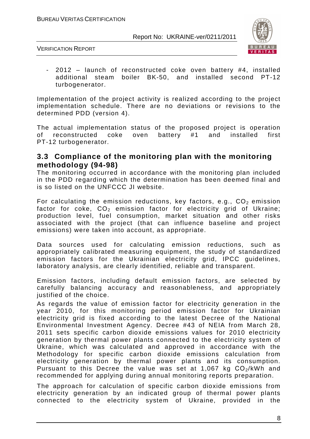

VERIFICATION REPORT

 $2012$  – launch of reconstructed coke oven battery #4, installed additional steam boiler BK-50, and installed second PT-12 turbogenerator.

Implementation of the project activity is realized according to the project implementation schedule. There are no deviations or revisions to the determined PDD (version 4).

The actual implementation status of the proposed project is operation of reconstructed coke oven battery #1 and installed first PT-12 turbogenerator.

#### **3.3 Compliance of the monitoring plan with the monitoring methodology (94-98)**

The monitoring occurred in accordance with the monitoring plan included in the PDD regarding which the determination has been deemed final and is so listed on the UNFCCC JI website.

For calculating the emission reductions, key factors, e.g.,  $CO<sub>2</sub>$  emission factor for coke,  $CO<sub>2</sub>$  emission factor for electricity grid of Ukraine; production level, fuel consumption, market situation and other risks associated with the project (that can influence baseline and project emissions) were taken into account, as appropriate.

Data sources used for calculating emission reductions, such as appropriately calibrated measuring equipment, the study of standardized emission factors for the Ukrainian electricity grid, IPCC guidelines, laboratory analysis, are clearly identified, reliable and transparent.

Emission factors, including default emission factors, are selected by carefully balancing accuracy and reasonableness, and appropriately justified of the choice.

As regards the value of emission factor for electricity generation in the year 2010, for this monitoring period emission factor for Ukrainian electricity grid is fixed according to the latest Decree of the National Environmental Investment Agency. Decree #43 of NEIA from March 28, 2011 sets specific carbon dioxide emissions values for 2010 electricity generation by thermal power plants connected to the electricity system of Ukraine, which was calculated and approved in accordance with the Methodology for specific carbon dioxide emissions calculation from electricity generation by thermal power plants and its consumption. Pursuant to this Decree the value was set at 1,067 kg  $CO<sub>2</sub>/kWh$  and recommended for applying during annual monitoring reports preparation.

The approach for calculation of specific carbon dioxide emissions from electricity generation by an indicated group of thermal power plants connected to the electricity system of Ukraine, provided in the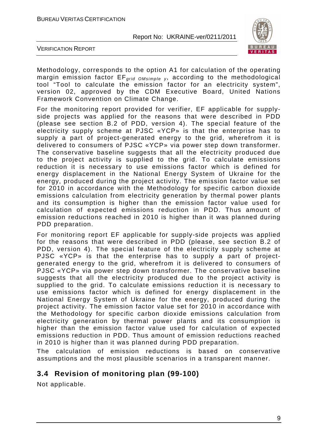

VERIFICATION REPORT

Methodology, corresponds to the option A1 for calculation of the operating margin emission factor  $EF_{grid\ OMsimple}$ , according to the methodological tool "Tool to calculate the emission factor for an electricity system", version 02, approved by the CDM Executive Board, United Nations Framework Convention on Climate Change.

For the monitoring report provided for verifier, EF applicable for supplyside projects was applied for the reasons that were described in PDD (please see section B.2 of PDD, version 4). The special feature of the electricity supply scheme at PJSC «YCP» is that the enterprise has to supply a part of project-generated energy to the grid, wherefrom it is delivered to consumers of PJSC «YCP» via power step down transformer. The conservative baseline suggests that all the electricity produced due to the project activity is supplied to the grid. To calculate emissions reduction it is necessary to use emissions factor which is defined for energy displacement in the National Energy System of Ukraine for the energy, produced during the project activity. The emission factor value set for 2010 in accordance with the Methodology for specific carbon dioxide emissions calculation from electricity generation by thermal power plants and its consumption is higher than the emission factor value used for calculation of expected emissions reduction in PDD. Thus amount of emission reductions reached in 2010 is higher than it was planned during PDD preparation.

For monitoring report EF applicable for supply-side projects was applied for the reasons that were described in PDD (please, see section B.2 of PDD, version 4). The special feature of the electricity supply scheme at PJSC «YCP» is that the enterprise has to supply a part of projectgenerated energy to the grid, wherefrom it is delivered to consumers of PJSC «YCP» via power step down transformer. The conservative baseline suggests that all the electricity produced due to the project activity is supplied to the grid. To calculate emissions reduction it is necessary to use emissions factor which is defined for energy displacement in the National Energy System of Ukraine for the energy, produced during the project activity. The emission factor value set for 2010 in accordance with the Methodology for specific carbon dioxide emissions calculation from electricity generation by thermal power plants and its consumption is higher than the emission factor value used for calculation of expected emissions reduction in PDD. Thus amount of emission reductions reached in 2010 is higher than it was planned during PDD preparation.

The calculation of emission reductions is based on conservative assumptions and the most plausible scenarios in a transparent manner.

## **3.4 Revision of monitoring plan (99-100)**

Not applicable.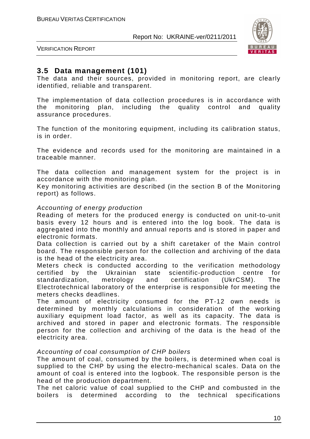

VERIFICATION REPORT

## **3.5 Data management (101)**

The data and their sources, provided in monitoring report, are clearly identified, reliable and transparent.

The implementation of data collection procedures is in accordance with the monitoring plan, including the quality control and quality assurance procedures.

The function of the monitoring equipment, including its calibration status, is in order.

The evidence and records used for the monitoring are maintained in a traceable manner.

The data collection and management system for the project is in accordance with the monitoring plan.

Key monitoring activities are described (in the section B of the Monitoring report) as follows.

#### Accounting of energy production

Reading of meters for the produced energy is conducted on unit-to-unit basis every 12 hours and is entered into the log book. The data is aggregated into the monthly and annual reports and is stored in paper and electronic formats.

Data collection is carried out by a shift caretaker of the Main control board. The responsible person for the collection and archiving of the data is the head of the electricity area.

Meters check is conducted according to the verification methodology certified by the Ukrainian state scientific-production centre for standardization, metrology and certification (UkrCSM). The Electrotechnical laboratory of the enterprise is responsible for meeting the meters checks deadlines.

The amount of electricity consumed for the PT-12 own needs is determined by monthly calculations in consideration of the working auxiliary equipment load factor, as well as its capacity. The data is archived and stored in paper and electronic formats. The responsible person for the collection and archiving of the data is the head of the electricity area.

#### Accounting of coal consumption of CHP boilers

The amount of coal, consumed by the boilers, is determined when coal is supplied to the CHP by using the electro-mechanical scales. Data on the amount of coal is entered into the logbook. The responsible person is the head of the production department.

The net caloric value of coal supplied to the CHP and combusted in the boilers is determined according to the technical specifications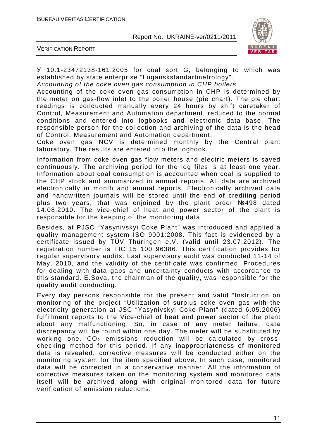

VERIFICATION REPORT

У 10.1-23472138-161:2005 for coal sort G, belonging to which was established by state enterprise "Luganskstandartmetrology".

Accounting of the coke oven gas consumption in CHP boilers

Accounting of the coke oven gas consumption in CHP is determined by the meter on gas-flow inlet to the boiler house (pie chart). The pie chart readings is conducted manually every 24 hours by shift caretaker of Control, Measurement and Automation department, reduced to the normal conditions and entered into logbooks and electronic data base. The responsible person for the collection and archiving of the data is the head of Control, Measurement and Automation department.

Coke oven gas NCV is determined monthly by the Central plant laboratory. The results are entered into the logbook.

Information from coke oven gas flow meters and electric meters is saved continuously. The archiving period for the log files is at least one year. Information about coal consumption is accounted when coal is supplied to the CHP stock and summarized in annual reports. All data are archived electronically in month and annual reports. Electronically archived data and handwritten journals will be stored until the end of crediting period plus two years, that was enjoined by the plant order №498 dated 14.08.2010. The vice-chief of heat and power sector of the plant is responsible for the keeping of the monitoring data.

Besides, at PJSC "Yasynivskyi Coke Plant" was introduced and applied a quality management system ISO 9001:2008. This fact is evidenced by a certificate issued by TÜV Thüringen e.V. (valid until 23.07.2012). The registration number is TIC 15 100 96386. This certification provides for regular supervisory audits. Last supervisory audit was conducted 11-14 of May, 2010, and the validity of the certificate was confirmed. Procedures for dealing with data gaps and uncertainty conducts with accordance to this standard. E.Sova, the chairman of the quality, was responsible for the quality audit conducting.

Every day persons responsible for the present and valid "Instruction on monitoring of the project "Utilization of surplus coke oven gas with the electricity generation at JSC "Yasynivskyi Coke Plant" (dated 6.05.2006) fulfillment reports to the Vice-сhief of heat and power sector of the plant about any malfunctioning. So, in case of any meter failure, data discrepancy will be found within one day. The meter will be substituted by working one.  $CO<sub>2</sub>$  emissions reduction will be calculated by crosschecking method for this period. If any inappropriateness of monitored data is revealed, corrective measures will be conducted either on the monitoring system for the item specified above. In such case, monitored data will be corrected in a conservative manner. All the information of corrective measures taken on the monitoring system and monitored data itself will be archived along with original monitored data for future verification of emission reductions.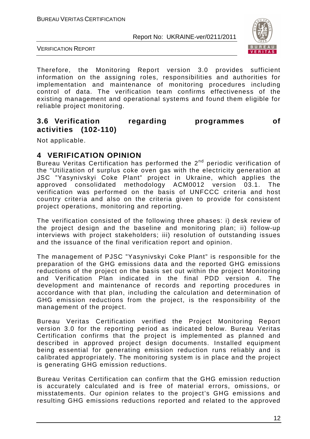

VERIFICATION REPORT

Therefore, the Monitoring Report version 3.0 provides sufficient information on the assigning roles, responsibilities and authorities for implementation and maintenance of monitoring procedures including control of data. The verification team confirms effectiveness of the existing management and operational systems and found them eligible for reliable project monitoring.

## **3.6 Verification regarding programmes of activities (102-110)**

Not applicable.

## **4 VERIFICATION OPINION**

Bureau Veritas Certification has performed the 2<sup>nd</sup> periodic verification of the "Utilization of surplus coke oven gas with the electricity generation at JSC "Yasynivskyi Coke Plant" project in Ukraine, which applies the approved consolidated methodology ACM0012 version 03.1. The verification was performed on the basis of UNFCCC criteria and host country criteria and also on the criteria given to provide for consistent project operations, monitoring and reporting.

The verification consisted of the following three phases: i) desk review of the project design and the baseline and monitoring plan; ii) follow-up interviews with project stakeholders; iii) resolution of outstanding issues and the issuance of the final verification report and opinion.

The management of PJSC "Yasynivskyi Coke Plant" is responsible for the preparation of the GHG emissions data and the reported GHG emissions reductions of the project on the basis set out within the project Monitoring and Verification Plan indicated in the final PDD version 4. The development and maintenance of records and reporting procedures in accordance with that plan, including the calculation and determination of GHG emission reductions from the project, is the responsibility of the management of the project.

Bureau Veritas Certification verified the Project Monitoring Report version 3.0 for the reporting period as indicated below. Bureau Veritas Certification confirms that the project is implemented as planned and described in approved project design documents. Installed equipment being essential for generating emission reduction runs reliably and is calibrated appropriately. The monitoring system is in place and the project is generating GHG emission reductions.

Bureau Veritas Certification can confirm that the GHG emission reduction is accurately calculated and is free of material errors, omissions, or misstatements. Our opinion relates to the project's GHG emissions and resulting GHG emissions reductions reported and related to the approved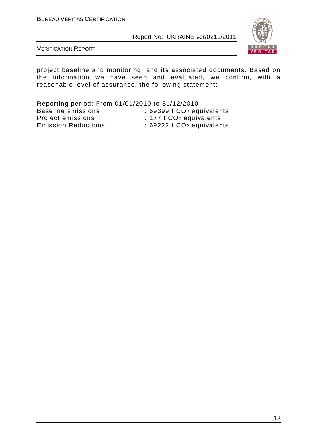

VERIFICATION REPORT

project baseline and monitoring, and its associated documents. Based on the information we have seen and evaluated, we confirm, with a reasonable level of assurance, the following statement:

Reporting period: From 01/01/2010 to 31/12/2010<br>Baseline emissions : 69399 t CO<sub>2</sub> eq : 69399 t CO<sub>2</sub> equivalents. Project emissions : 177 t CO<sub>2</sub> equivalents. Emission Reductions : 69222 t CO<sub>2</sub> equivalents.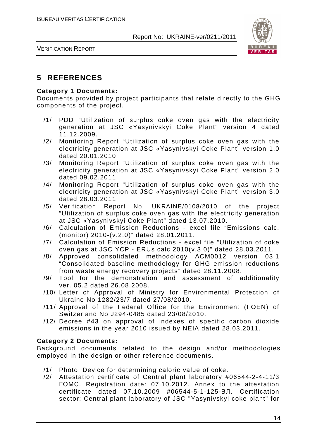

VERIFICATION REPORT

## **5 REFERENCES**

#### **Category 1 Documents:**

Documents provided by project participants that relate directly to the GHG components of the project.

- /1/ PDD "Utilization of surplus coke oven gas with the electricity generation at JSC «Yasynivskyi Coke Plant" version 4 dated 11.12.2009.
- /2/ Monitoring Report "Utilization of surplus coke oven gas with the electricity generation at JSC «Yasynivskyi Coke Plant" version 1.0 dated 20.01.2010.
- /3/ Monitoring Report "Utilization of surplus coke oven gas with the electricity generation at JSC «Yasynivskyi Coke Plant" version 2.0 dated 09.02.2011.
- /4/ Monitoring Report "Utilization of surplus coke oven gas with the electricity generation at JSC «Yasynivskyi Coke Plant" version 3.0 dated 28.03.2011.
- /5/ Verification Report NO. UKRAINE/0108/2010 of the project "Utilization of surplus coke oven gas with the electricity generation at JSC «Yasynivskyi Coke Plant" dated 13.07.2010.
- /6/ Calculation of Emission Reductions excel file "Emissions calc. (monitor) 2010-(v.2.0)" dated 28.01.2011.
- /7/ Calculation of Emission Reductions excel file "Utilization of coke oven gas at JSC YCP - ERUs calc 2010(v.3.0)" dated 28.03.2011.
- /8/ Approved consolidated methodology ACM0012 version 03.1 "Consolidated baseline methodology for GHG emission reductions from waste energy recovery projects" dated 28.11.2008.
- /9/ Tool for the demonstration and assessment of additionality ver. 05.2 dated 26.08.2008.
- /10/ Letter of Approval of Ministry for Environmental Protection of Ukraine No 1282/23/7 dated 27/08/2010.
- /11/ Approval of the Federal Office for the Environment (FOEN) of Switzerland No J294-0485 dated 23/08/2010.
- /12/ Decree #43 on approval of indexes of specific carbon dioxide emissions in the year 2010 issued by NEIA dated 28.03.2011.

#### **Category 2 Documents:**

Background documents related to the design and/or methodologies employed in the design or other reference documents.

- /1/ Photo. Device for determining caloric value of coke.
- /2/ Attestation certificate of Central plant laboratory #06544-2-4-11/3 ГОМС. Registration date: 07.10.2012. Annex to the attestation certificate dated 07.10.2009 #06544-5-1-125-ВЛ. Certification sector: Central plant laboratory of JSC "Yasynivskyi coke plant" for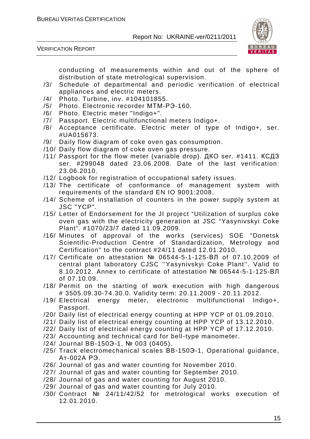

VERIFICATION REPORT

conducting of measurements within and out of the sphere of distribution of state metrological supervision.

- /3/ Schedule of departmental and periodic verification of electrical appliances and electric meters.
- /4/ Photo. Turbine, inv. #104101855.
- /5/ Photo. Electronic recorder МТМ-РЭ-160.
- /6/ Photo. Electric meter "Indigo+".
- /7/ Passport. Electric multifunctional meters Indigo+.
- /8/ Acceptance certificate. Electric meter of type of Indigo+, ser. #UA015673.
- /9/ Daily flow diagram of coke oven gas consumption.
- /10/ Daily flow diagram of coke oven gas pressure.
- /11/ Passport for the flow meter (variable drop). ДКО ser. #1411. КСДЗ ser. #299048 dated 23.06.2008. Date of the last verification: 23.06.2010.
- /12/ Logbook for registration of occupational safety issues.
- /13/ The certificate of conformance of management system with requirements of the standard EN IO 9001:2008.
- /14/ Scheme of installation of counters in the power supply system at JSC "YCP".
- /15/ Letter of Endorsement for the JI project "Utilization of surplus coke oven gas with the electricity generation at JSC "Yasynivskyi Coke Plant". #1070/23/7 dated 11.09.2009.
- /16/ Minutes of approval of the works (services) SOE "Donetsk Scientific-Production Centre of Standardization, Metrology and Certification" to the contract #24/11 dated 12.01.2010.
- /17/ Certificate on attestation № 06544-5-1-125-ВЛ of 07.10.2009 of central plant laboratory CJSC ''Yasynivskyi Coke Plant''. Valid to 8.10.2012. Annex to certificate of attestation № 06544-5-1-125-ВЛ of 07.10.09.
- /18/ Permit on the starting of work execution with high dangerous # 3505.09.30-74.30.0. Validity term: 20.11.2009 - 20.11.2012.
- /19/ Electrical energy meter, electronic multifunctional Indigo+, Passport.
- /20/ Daily list of electrical energy counting at HPP YCP of 01.09.2010.
- /21/ Daily list of electrical energy counting at HPP YCP of 13.12.2010.
- /22/ Daily list of electrical energy counting at HPP YCP of 17.12.2010.
- /23/ Accounting and technical card for bell-type manometer.
- /24/ Journal BB-150Э-1, № 003 (0405).
- /25/ Track electromechanical scales ВB-150Э-1, Operational guidance, Ат-002А РЭ.
- /26/ Journal of gas and water counting for November 2010.
- /27/ Journal of gas and water counting for September 2010.
- /28/ Journal of gas and water counting for August 2010.
- /29/ Journal of gas and water counting for July 2010.
- /30/ Contract № 24/11/42/52 for metrological works execution of 12.01.2010.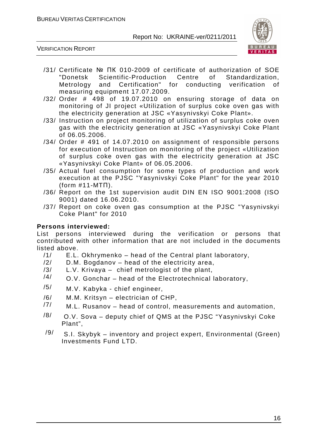

VERIFICATION REPORT

- /31/ Certificate № ПК 010-2009 of certificate of authorization of SOE "Donetsk Scientific-Production Centre of Standardization, Metrology and Certification" for conducting verification of measuring equipment 17.07.2009.
- /32/ Order # 498 of 19.07.2010 on ensuring storage of data on monitoring of JI project «Utilization of surplus coke oven gas with the electricity generation at JSC «Yasynivskyi Coke Plant».
- /33/ Instruction on project monitoring of utilization of surplus coke oven gas with the electricity generation at JSC «Yasynivskyi Coke Plant of 06.05.2006.
- /34/ Order # 491 of 14.07.2010 on assignment of responsible persons for execution of Instruction on monitoring of the project «Utilization of surplus coke oven gas with the electricity generation at JSC «Yasynivskyi Coke Plant» of 06.05.2006.
- /35/ Actual fuel consumption for some types of production and work execution at the PJSC "Yasynivskyi Coke Plant" for the year 2010 (form #11-MTП).
- /36/ Report on the 1st supervision audit DIN EN ISO 9001:2008 (ISO 9001) dated 16.06.2010.
- /37/ Report on coke oven gas consumption at the PJSC "Yasynivskyi Coke Plant" for 2010

#### **Persons interviewed:**

List persons interviewed during the verification or persons that contributed with other information that are not included in the documents listed above.

- /1/ E.L. Okhrymenko head of the Central plant laboratory,
- $/2/$  D.M. Bogdanov head of the electricity area,
- /3/ L.V. Krivaya chief metrologist of the plant,
- $/4/$  O.V. Gonchar head of the Electrotechnical laboratory,
- /5/ M.V. Kabyka chief engineer,
- /6/ M.M. Kritsyn electrician of CHP,
- $/7/$  M.L. Rusanov head of control, measurements and automation,
- $/8/$  O.V. Sova deputy chief of QMS at the PJSC "Yasynivskyi Coke Plant",
- $/9/$  S.I. Skybyk inventory and project expert. Environmental (Green) Investments Fund LTD.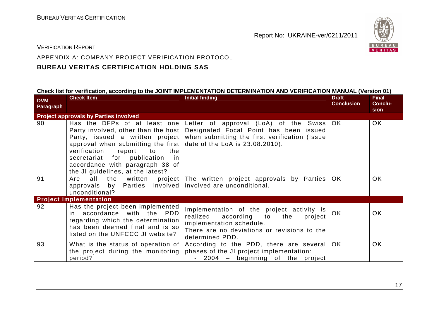

#### VERIFICATION REPORT

## APPENDIX A: COMPANY PROJECT VERIFICATION PROTOCOL

## **BUREAU VERITAS CERTIFICATION HOLDING SAS**

#### **Check list for verification, according to the JOINT IMPLEMENTATION DETERMINATION AND VERIFICATION MANUAL (Version 01)**

| <b>DVM</b><br><b>Paragraph</b> | <b>Check Item</b>                                                                                                                                                                                                          | <b>Initial finding</b>                                                                                                                                                                                                               | <b>Draft</b><br><b>Conclusion</b> | <b>Final</b><br><b>Conclu-</b> |
|--------------------------------|----------------------------------------------------------------------------------------------------------------------------------------------------------------------------------------------------------------------------|--------------------------------------------------------------------------------------------------------------------------------------------------------------------------------------------------------------------------------------|-----------------------------------|--------------------------------|
|                                | <b>Project approvals by Parties involved</b>                                                                                                                                                                               |                                                                                                                                                                                                                                      |                                   | sion                           |
| 90                             | approval when submitting the first date of the LoA is $23.08.2010$ ).<br>verification<br>the<br>report<br>to<br>secretariat for publication<br>in.<br>accordance with paragraph 38 of<br>the JI guidelines, at the latest? | Has the DFPs of at least one Letter of approval (LoA) of the Swiss OK<br>Party involved, other than the host Designated Focal Point has been issued<br>Party, issued a written project when submitting the first verification (Issue |                                   | OK.                            |
| 91                             | all<br>Are<br>approvals by Parties involved involved are unconditional.<br>unconditional?                                                                                                                                  | the written project The written project approvals by Parties                                                                                                                                                                         | OK.                               | OK.                            |
|                                | <b>Project implementation</b>                                                                                                                                                                                              |                                                                                                                                                                                                                                      |                                   |                                |
| 92                             | Has the project been implemented<br>in accordance with the PDD<br>regarding which the determination<br>has been deemed final and is so<br>listed on the UNFCCC JI website?                                                 | Implementation of the project activity is<br>according to<br>realized<br>the<br>project<br>implementation schedule.<br>There are no deviations or revisions to the<br>determined PDD.                                                | <b>OK</b>                         | <b>OK</b>                      |
| 93                             | What is the status of operation of<br>the project during the monitoring<br>period?                                                                                                                                         | According to the PDD, there are several<br>phases of the JI project implementation:<br>- 2004 – beginning of the project                                                                                                             | OK.                               | OK                             |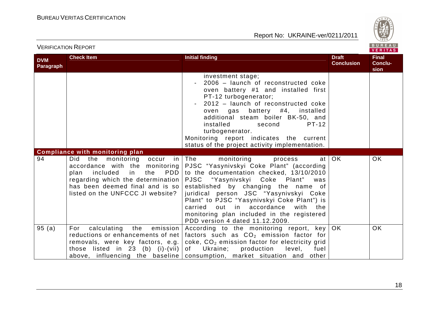

|                                |                                                                                                                                                                                                             |                                                                                                                                                                                                                                                                                                                                                                                                                                                         |                                   | VENIIAS                         |
|--------------------------------|-------------------------------------------------------------------------------------------------------------------------------------------------------------------------------------------------------------|---------------------------------------------------------------------------------------------------------------------------------------------------------------------------------------------------------------------------------------------------------------------------------------------------------------------------------------------------------------------------------------------------------------------------------------------------------|-----------------------------------|---------------------------------|
| <b>DVM</b><br><b>Paragraph</b> | <b>Check Item</b>                                                                                                                                                                                           | <b>Initial finding</b>                                                                                                                                                                                                                                                                                                                                                                                                                                  | <b>Draft</b><br><b>Conclusion</b> | <b>Final</b><br>Conclu-<br>sion |
|                                |                                                                                                                                                                                                             | investment stage;<br>2006 - launch of reconstructed coke<br>oven battery #1 and installed first<br>PT-12 turbogenerator;<br>2012 - launch of reconstructed coke<br>oven gas battery #4, installed<br>additional steam boiler BK-50, and<br>installed<br><b>PT-12</b><br>second<br>turbogenerator.<br>Monitoring report indicates the current<br>status of the project activity implementation.                                                          |                                   |                                 |
|                                | <b>Compliance with monitoring plan</b>                                                                                                                                                                      |                                                                                                                                                                                                                                                                                                                                                                                                                                                         |                                   |                                 |
| 94                             | occur in The<br>Did<br>the<br>monitoring<br>PDD  <br>$\mathsf{in}$<br>included<br>the<br>plan<br>regarding which the determination  <br>has been deemed final and is so<br>listed on the UNFCCC JI website? | monitoring<br>at<br>process<br>accordance with the monitoring PJSC "Yasynivskyi Coke Plant" (according<br>to the documentation checked, 13/10/2010<br>PJSC "Yasynivskyi Coke Plant" was<br>established by changing the name of<br>juridical person JSC "Yasynivskyi Coke<br>Plant" to PJSC "Yasynivskyi Coke Plant") is<br>out in accordance<br>with<br>carried<br>the<br>monitoring plan included in the registered<br>PDD version 4 dated 11.12.2009. | <b>OK</b>                         | <b>OK</b>                       |
| 95(a)                          | calculating<br>the emission<br>For<br>reductions or enhancements of net<br>removals, were key factors, e.g.<br>those listed in 23 (b) (i)-(vii) $ $                                                         | According to the monitoring report, key OK<br>factors such as $CO2$ emission factor for<br>coke, CO <sub>2</sub> emission factor for electricity grid<br>Ukraine;<br>production<br>of<br>level,<br>fuel<br>above, influencing the baseline consumption, market situation and other                                                                                                                                                                      |                                   | <b>OK</b>                       |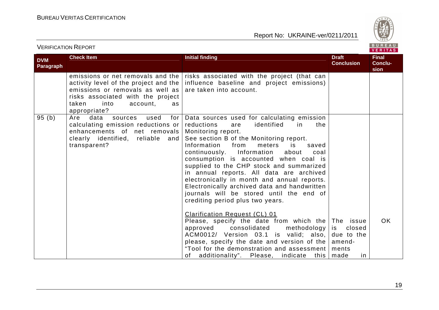

|                         | <b>VERIFICATION REPORT</b>                                                                                                                                          |                                                                                                                                                                                                                                                                                                                                                                                                                                                                                                                                                                                                                                                                                                                                                                                                                     |                                   | BUREAU<br>VERITAS               |
|-------------------------|---------------------------------------------------------------------------------------------------------------------------------------------------------------------|---------------------------------------------------------------------------------------------------------------------------------------------------------------------------------------------------------------------------------------------------------------------------------------------------------------------------------------------------------------------------------------------------------------------------------------------------------------------------------------------------------------------------------------------------------------------------------------------------------------------------------------------------------------------------------------------------------------------------------------------------------------------------------------------------------------------|-----------------------------------|---------------------------------|
| <b>DVM</b><br>Paragraph | <b>Check Item</b>                                                                                                                                                   | <b>Initial finding</b>                                                                                                                                                                                                                                                                                                                                                                                                                                                                                                                                                                                                                                                                                                                                                                                              | <b>Draft</b><br><b>Conclusion</b> | <b>Final</b><br>Conclu-<br>sion |
|                         | activity level of the project and the  <br>emissions or removals as well as<br>risks associated with the project<br>taken<br>into<br>account,<br>as<br>appropriate? | emissions or net removals and the $\vert$ risks associated with the project (that can<br>influence baseline and project emissions)<br>are taken into account.                                                                                                                                                                                                                                                                                                                                                                                                                                                                                                                                                                                                                                                       |                                   |                                 |
| 95(b)                   | Are<br>data<br>used<br>for<br>sources<br>calculating emission reductions or<br>enhancements of net removals<br>clearly identified, reliable and<br>transparent?     | Data sources used for calculating emission<br>reductions<br>identified<br>in<br>are<br>the<br>Monitoring report.<br>See section B of the Monitoring report.<br>Information<br>from<br>meters<br>is<br>saved<br>continuously. Information<br>about<br>coal<br>consumption is accounted when coal is<br>supplied to the CHP stock and summarized<br>in annual reports. All data are archived<br>electronically in month and annual reports.<br>Electronically archived data and handwritten<br>journals will be stored until the end of<br>crediting period plus two years.<br>Clarification Request (CL) 01<br>Please, specify the date from which the The issue<br>consolidated<br>approved<br>methodology  <br>ACM0012/ Version 03.1 is valid; also, due to the<br>please, specify the date and version of the $ $ | closed<br>is<br>amend-            | <b>OK</b>                       |
|                         |                                                                                                                                                                     | "Tool for the demonstration and assessment  <br>additionality". Please, indicate<br>this  <br>of                                                                                                                                                                                                                                                                                                                                                                                                                                                                                                                                                                                                                                                                                                                    | ments<br>made<br>in.              |                                 |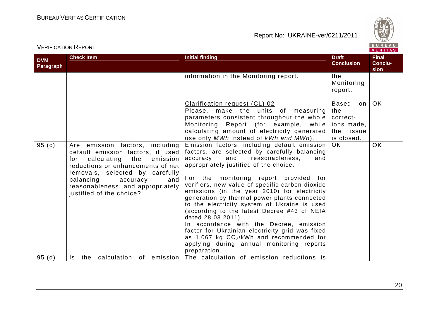

| <b>DVM</b><br>Paragraph | <b>Check Item</b>                                                                                                                                                                                                                                                                      | <b>Initial finding</b>                                                                                                                                                                                                                                                                                                                                                                                                                                                                                                                                                                                                                                                                                       | <b>Draft</b><br><b>Conclusion</b>                                            | <b>Final</b><br>Conclu-<br>sion |
|-------------------------|----------------------------------------------------------------------------------------------------------------------------------------------------------------------------------------------------------------------------------------------------------------------------------------|--------------------------------------------------------------------------------------------------------------------------------------------------------------------------------------------------------------------------------------------------------------------------------------------------------------------------------------------------------------------------------------------------------------------------------------------------------------------------------------------------------------------------------------------------------------------------------------------------------------------------------------------------------------------------------------------------------------|------------------------------------------------------------------------------|---------------------------------|
|                         |                                                                                                                                                                                                                                                                                        | information in the Monitoring report.                                                                                                                                                                                                                                                                                                                                                                                                                                                                                                                                                                                                                                                                        | the<br>Monitoring<br>report.                                                 |                                 |
|                         |                                                                                                                                                                                                                                                                                        | Clarification request (CL) 02<br>Please, make the units of measuring<br>parameters consistent throughout the whole<br>Monitoring Report (for example, while<br>calculating amount of electricity generated<br>use only MWh instead of kWh and MWh).                                                                                                                                                                                                                                                                                                                                                                                                                                                          | Based<br>on l<br>the<br>correct-<br>ions made,<br>the<br>issue<br>is closed. | OK                              |
| 95 $(c)$                | Are emission factors, including<br>default emission factors, if used<br>calculating<br>the<br>emission<br>for<br>reductions or enhancements of net<br>removals, selected by carefully<br>balancing<br>accuracy<br>and<br>reasonableness, and appropriately<br>justified of the choice? | Emission factors, including default emission<br>factors, are selected by carefully balancing<br>and<br>accuracy<br>reasonableness,<br>and<br>appropriately justified of the choice.<br>For the monitoring report provided for<br>verifiers, new value of specific carbon dioxide<br>emissions (in the year 2010) for electricity<br>generation by thermal power plants connected<br>to the electricity system of Ukraine is used<br>(according to the latest Decree #43 of NEIA<br>dated 28.03.2011)<br>In accordance with the Decree, emission<br>factor for Ukrainian electricity grid was fixed<br>as 1,067 kg $CO2/kWh$ and recommended for<br>applying during annual monitoring reports<br>preparation. | <b>OK</b>                                                                    | <b>OK</b>                       |
| 95(d)                   | the<br>Is .                                                                                                                                                                                                                                                                            | calculation of emission The calculation of emission reductions is                                                                                                                                                                                                                                                                                                                                                                                                                                                                                                                                                                                                                                            |                                                                              |                                 |

## VERIFICATION REPORT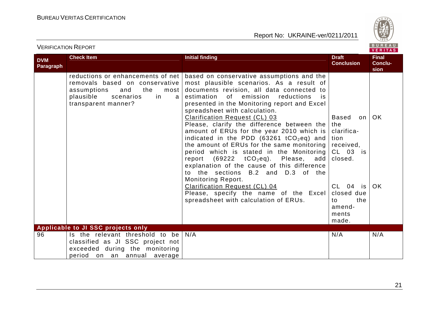

| <b>DVM</b><br>Paragraph | <b>Check Item</b>                                                                                                                                                    | <b>Initial finding</b>                                                                                                                                                                                                                                                                                                                                                                                                                                                                                                                                                                                                                                                                                                                                                                                                                                                  | <b>Draft</b><br><b>Conclusion</b>                                                                                             | <u>, , , , , , , , ,</u><br><b>Final</b><br>Conclu-<br><b>sion</b> |
|-------------------------|----------------------------------------------------------------------------------------------------------------------------------------------------------------------|-------------------------------------------------------------------------------------------------------------------------------------------------------------------------------------------------------------------------------------------------------------------------------------------------------------------------------------------------------------------------------------------------------------------------------------------------------------------------------------------------------------------------------------------------------------------------------------------------------------------------------------------------------------------------------------------------------------------------------------------------------------------------------------------------------------------------------------------------------------------------|-------------------------------------------------------------------------------------------------------------------------------|--------------------------------------------------------------------|
|                         | reductions or enhancements of net<br>removals based on conservative<br>the<br>assumptions<br>and<br>most<br>plausible<br>scenarios<br>in<br>a<br>transparent manner? | based on conservative assumptions and the<br>most plausible scenarios. As a result of<br>documents revision, all data connected to<br>of emission<br>estimation<br>reductions<br>is.<br>presented in the Monitoring report and Excel<br>spreadsheet with calculation.<br><b>Clarification Request (CL) 03</b><br>Please, clarify the difference between the<br>amount of ERUs for the year 2010 which is<br>indicated in the PDD (63261 tCO <sub>2</sub> eq) and<br>the amount of ERUs for the same monitoring<br>period which is stated in the Monitoring<br>report $(69222 \text{ tCO}_2\text{eq})$ . Please, add closed.<br>explanation of the cause of this difference<br>to the sections B.2 and D.3 of the<br><b>Monitoring Report.</b><br><b>Clarification Request (CL) 04</b><br>Please, specify the name of the Excel<br>spreadsheet with calculation of ERUs. | Based<br>on<br>the<br>clarifica-<br>tion<br>received,<br>$CL$ 03 is<br>CL 04 is<br>closed due<br>to<br>the<br>amend-<br>ments | <b>OK</b><br><b>OK</b>                                             |
|                         | Applicable to JI SSC projects only                                                                                                                                   |                                                                                                                                                                                                                                                                                                                                                                                                                                                                                                                                                                                                                                                                                                                                                                                                                                                                         | made.                                                                                                                         |                                                                    |
| 96                      | Is the relevant threshold to be<br>classified as JI SSC project not<br>exceeded during the monitoring<br>period on an annual average                                 | N/A                                                                                                                                                                                                                                                                                                                                                                                                                                                                                                                                                                                                                                                                                                                                                                                                                                                                     | N/A                                                                                                                           | N/A                                                                |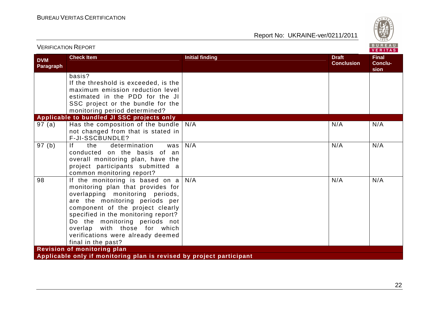

|                         | <b>VERIFICATION REPORT</b>                                                                                                                                                                                                                                                                                                                         |                        |                                   | <b>BUREAU</b><br>VERITAS        |  |  |  |
|-------------------------|----------------------------------------------------------------------------------------------------------------------------------------------------------------------------------------------------------------------------------------------------------------------------------------------------------------------------------------------------|------------------------|-----------------------------------|---------------------------------|--|--|--|
| <b>DVM</b><br>Paragraph | <b>Check Item</b>                                                                                                                                                                                                                                                                                                                                  | <b>Initial finding</b> | <b>Draft</b><br><b>Conclusion</b> | <b>Final</b><br>Conclu-<br>sion |  |  |  |
|                         | basis?<br>If the threshold is exceeded, is the<br>maximum emission reduction level<br>estimated in the PDD for the JI<br>SSC project or the bundle for the<br>monitoring period determined?                                                                                                                                                        |                        |                                   |                                 |  |  |  |
|                         | Applicable to bundled JI SSC projects only                                                                                                                                                                                                                                                                                                         |                        |                                   |                                 |  |  |  |
| 97(a)                   | Has the composition of the bundle $ $<br>not changed from that is stated in<br>F-JI-SSCBUNDLE?                                                                                                                                                                                                                                                     | N/A                    | N/A                               | N/A                             |  |  |  |
| 97(b)                   | f <br>determination<br>the<br>was<br>conducted on the basis of an<br>overall monitoring plan, have the<br>project participants submitted a<br>common monitoring report?                                                                                                                                                                            | N/A                    | N/A                               | N/A                             |  |  |  |
| 98                      | If the monitoring is based on $a$<br>monitoring plan that provides for<br>overlapping monitoring periods,<br>are the monitoring periods per<br>component of the project clearly<br>specified in the monitoring report?<br>Do the monitoring periods not<br>overlap with those for which<br>verifications were already deemed<br>final in the past? | N/A                    | N/A                               | N/A                             |  |  |  |
|                         | Revision of monitoring plan                                                                                                                                                                                                                                                                                                                        |                        |                                   |                                 |  |  |  |
|                         | Applicable only if monitoring plan is revised by project participant                                                                                                                                                                                                                                                                               |                        |                                   |                                 |  |  |  |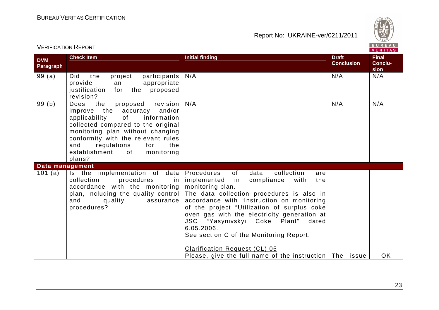

|                         | <b>VERIFICATION REPORT</b>                                                                                                                                                                                                                                                                                     |                                                                                                                                                                                                                                                                                                                                                                                                                                                                                                                                                              |                                   |                                 |
|-------------------------|----------------------------------------------------------------------------------------------------------------------------------------------------------------------------------------------------------------------------------------------------------------------------------------------------------------|--------------------------------------------------------------------------------------------------------------------------------------------------------------------------------------------------------------------------------------------------------------------------------------------------------------------------------------------------------------------------------------------------------------------------------------------------------------------------------------------------------------------------------------------------------------|-----------------------------------|---------------------------------|
| <b>DVM</b><br>Paragraph | <b>Check Item</b>                                                                                                                                                                                                                                                                                              | <b>Initial finding</b>                                                                                                                                                                                                                                                                                                                                                                                                                                                                                                                                       | <b>Draft</b><br><b>Conclusion</b> | <b>Final</b><br>Conclu-<br>sion |
| 99(a)                   | Did<br>the<br>project<br>participants  <br>provide<br>appropriate<br>an<br>justification<br>for<br>the<br>proposed<br>revision?                                                                                                                                                                                | N/A                                                                                                                                                                                                                                                                                                                                                                                                                                                                                                                                                          | N/A                               | N/A                             |
| 99(b)                   | revision<br>the<br>proposed<br>Does<br>improve the<br>accuracy and/or<br>of<br>applicability<br>information<br>collected compared to the original<br>monitoring plan without changing<br>conformity with the relevant rules<br>and<br>regulations<br>for<br>the<br>establishment<br>of<br>monitoring<br>plans? | N/A                                                                                                                                                                                                                                                                                                                                                                                                                                                                                                                                                          | N/A                               | N/A                             |
| Data management         |                                                                                                                                                                                                                                                                                                                |                                                                                                                                                                                                                                                                                                                                                                                                                                                                                                                                                              |                                   |                                 |
| 101 (a)                 | Is the implementation of data<br>collection<br>procedures<br>in<br>accordance with the monitoring<br>quality<br>and<br>assurance<br>procedures?                                                                                                                                                                | of<br>data<br>collection<br>Procedures<br>are<br>implemented<br>compliance<br>with<br>the<br>in in<br>monitoring plan.<br>plan, including the quality control The data collection procedures is also in<br>accordance with "Instruction on monitoring<br>of the project "Utilization of surplus coke<br>oven gas with the electricity generation at<br>JSC "Yasynivskyi Coke Plant"<br>dated<br>6.05.2006.<br>See section C of the Monitoring Report.<br><b>Clarification Request (CL) 05</b><br>Please, give the full name of the instruction $ $ The issue |                                   | <b>OK</b>                       |

VERIFICATION REPORT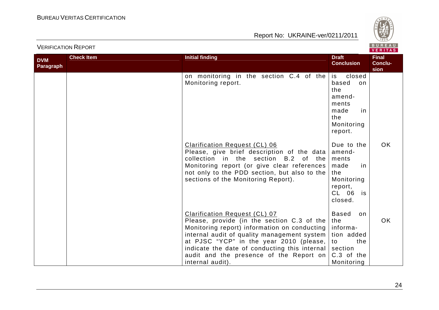

|                         | <b>VERIFICATION REPORT</b> |                                                                                                                                                                                                                                                                                                                                                             |                                                                                                    | BUREAU<br><b>VERITAS</b>        |
|-------------------------|----------------------------|-------------------------------------------------------------------------------------------------------------------------------------------------------------------------------------------------------------------------------------------------------------------------------------------------------------------------------------------------------------|----------------------------------------------------------------------------------------------------|---------------------------------|
| <b>DVM</b><br>Paragraph | <b>Check Item</b>          | <b>Initial finding</b>                                                                                                                                                                                                                                                                                                                                      | <b>Draft</b><br><b>Conclusion</b>                                                                  | <b>Final</b><br>Conclu-<br>sion |
|                         |                            | on monitoring in the section $C.4$ of the is<br>Monitoring report.                                                                                                                                                                                                                                                                                          | closed<br>based<br>on<br>the<br>amend-<br>ments<br>made<br>in<br>the<br>Monitoring<br>report.      |                                 |
|                         |                            | <b>Clarification Request (CL) 06</b><br>Please, give brief description of the data<br>collection in the section B.2 of the<br>Monitoring report (or give clear references<br>not only to the PDD section, but also to the<br>sections of the Monitoring Report).                                                                                            | Due to the<br>amend-<br>ments<br>made<br>in<br>the<br>Monitoring<br>report,<br>CL 06 is<br>closed. | <b>OK</b>                       |
|                         |                            | <b>Clarification Request (CL) 07</b><br>Please, provide (in the section C.3 of the<br>Monitoring report) information on conducting<br>internal audit of quality management system<br>at PJSC "YCP" in the year 2010 (please, $ $ to<br>indicate the date of conducting this internal section<br>audit and the presence of the Report on<br>internal audit). | <b>Based</b><br>on<br>the<br>informa-<br>tion added<br>the<br>C.3 of the<br>Monitoring             | OK.                             |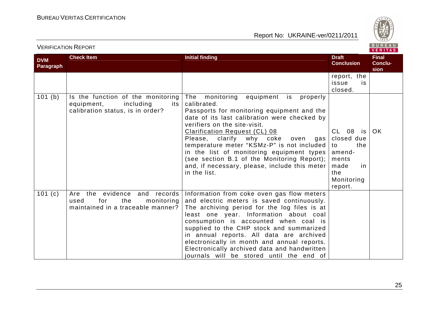



| <b>DVM</b><br><b>Paragraph</b> | <b>Check Item</b>                                                                                        | <b>Initial finding</b>                                                                                                                                                                                                                                                                                                                                                                                                                                                            | <b>Draft</b><br><b>Conclusion</b>                                                                     | <b>Final</b><br><b>Conclu-</b><br>sion |
|--------------------------------|----------------------------------------------------------------------------------------------------------|-----------------------------------------------------------------------------------------------------------------------------------------------------------------------------------------------------------------------------------------------------------------------------------------------------------------------------------------------------------------------------------------------------------------------------------------------------------------------------------|-------------------------------------------------------------------------------------------------------|----------------------------------------|
|                                |                                                                                                          |                                                                                                                                                                                                                                                                                                                                                                                                                                                                                   | report, the<br>issue<br>is.<br>closed.                                                                |                                        |
| 101(b)                         | Is the function of the monitoring<br>including<br>equipment,<br>its<br>calibration status, is in order?  | The<br>monitoring<br>equipment is<br>properly<br>calibrated.<br>Passports for monitoring equipment and the<br>date of its last calibration were checked by<br>verifiers on the site-visit.<br>Clarification Request (CL) 08<br>Please, clarify why coke<br>oven<br>gas<br>temperature meter "KSMz-P" is not included<br>in the list of monitoring equipment types<br>(see section B.1 of the Monitoring Report);<br>and, if necessary, please, include this meter<br>in the list. | CL 08 is<br>closed due<br>the<br>to<br>amend-<br>ments<br>made<br>in.<br>the<br>Monitoring<br>report. | OK                                     |
| 101 $(c)$                      | Are the evidence and<br>records<br>for<br>the<br>monitoring<br>used<br>maintained in a traceable manner? | Information from coke oven gas flow meters<br>and electric meters is saved continuously.<br>The archiving period for the log files is at<br>least one year. Information about coal<br>consumption is accounted when coal is<br>supplied to the CHP stock and summarized<br>in annual reports. All data are archived<br>electronically in month and annual reports.<br>Electronically archived data and handwritten<br>journals will be stored until the end of                    |                                                                                                       |                                        |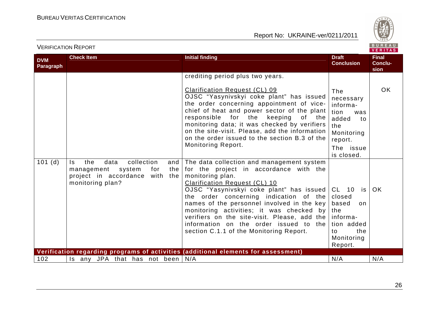

|                         |                                                                                                                                    |                                                                                                                                                                                                                                                                                                                                                                                                                                                                                   |                                                                                                                       | VERIIAS                         |
|-------------------------|------------------------------------------------------------------------------------------------------------------------------------|-----------------------------------------------------------------------------------------------------------------------------------------------------------------------------------------------------------------------------------------------------------------------------------------------------------------------------------------------------------------------------------------------------------------------------------------------------------------------------------|-----------------------------------------------------------------------------------------------------------------------|---------------------------------|
| <b>DVM</b><br>Paragraph | <b>Check Item</b>                                                                                                                  | <b>Initial finding</b>                                                                                                                                                                                                                                                                                                                                                                                                                                                            | <b>Draft</b><br><b>Conclusion</b>                                                                                     | <b>Final</b><br>Conclu-<br>sion |
|                         |                                                                                                                                    | crediting period plus two years.<br>Clarification Request (CL) 09<br>OJSC "Yasynivskyi coke plant" has issued<br>the order concerning appointment of vice-<br>chief of heat and power sector of the plant<br>responsible for the<br>keeping<br>of the<br>monitoring data; it was checked by verifiers<br>on the site-visit. Please, add the information<br>on the order issued to the section B.3 of the<br>Monitoring Report.                                                    | The<br>necessary<br>informa-<br>tion<br>was<br>added<br>to<br>the<br>Monitoring<br>report.<br>The issue<br>is closed. | OK.                             |
| 101(d)                  | collection<br>the<br>data<br>Is.<br>the<br>management<br>system<br>for<br>project in accordance<br>with<br>the<br>monitoring plan? | and The data collection and management system<br>for the project in accordance with the<br>monitoring plan.<br><b>Clarification Request (CL) 10</b><br>OJSC "Yasynivskyi coke plant" has issued CL 10 is<br>the order concerning indication of the<br>names of the personnel involved in the key<br>monitoring activities; it was checked by<br>verifiers on the site-visit. Please, add the<br>information on the order issued to the<br>section C.1.1 of the Monitoring Report. | closed<br>based<br>on<br>the<br>informa-<br>tion added<br>the<br>to<br>Monitoring<br>Report.                          | <b>OK</b>                       |
| 102                     | Is any JPA that has not been $N/A$                                                                                                 | Verification regarding programs of activities (additional elements for assessment)                                                                                                                                                                                                                                                                                                                                                                                                | N/A                                                                                                                   | N/A                             |
|                         |                                                                                                                                    |                                                                                                                                                                                                                                                                                                                                                                                                                                                                                   |                                                                                                                       |                                 |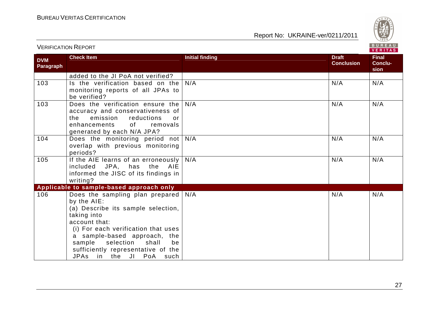

|                         |                                                                                                                                                                                                                                                                                                    |                        |                                   | VERITAS                  |
|-------------------------|----------------------------------------------------------------------------------------------------------------------------------------------------------------------------------------------------------------------------------------------------------------------------------------------------|------------------------|-----------------------------------|--------------------------|
| <b>DVM</b><br>Paragraph | <b>Check Item</b>                                                                                                                                                                                                                                                                                  | <b>Initial finding</b> | <b>Draft</b><br><b>Conclusion</b> | Final<br>Conclu-<br>sion |
|                         | added to the JI PoA not verified?                                                                                                                                                                                                                                                                  |                        |                                   |                          |
| 103                     | Is the verification based on the<br>monitoring reports of all JPAs to<br>be verified?                                                                                                                                                                                                              | N/A                    | N/A                               | N/A                      |
| 103                     | Does the verification ensure the<br>accuracy and conservativeness of<br>emission<br>reductions<br>the<br>$\alpha$ r<br>of<br>enhancements<br>removals<br>generated by each N/A JPA?                                                                                                                | N/A                    | N/A                               | N/A                      |
| 104                     | Does the monitoring period not<br>overlap with previous monitoring<br>periods?                                                                                                                                                                                                                     | N/A                    | N/A                               | N/A                      |
| 105                     | If the AIE learns of an erroneously<br>included JPA, has the AIE<br>informed the JISC of its findings in<br>writing?                                                                                                                                                                               | N/A                    | N/A                               | N/A                      |
|                         | Applicable to sample-based approach only                                                                                                                                                                                                                                                           |                        |                                   |                          |
| 106                     | Does the sampling plan prepared<br>by the AIE:<br>(a) Describe its sample selection,<br>taking into<br>account that:<br>(i) For each verification that uses<br>a sample-based approach, the<br>selection<br>sample<br>shall<br>be<br>sufficiently representative of the<br>JPAs in the JI PoA such | N/A                    | N/A                               | N/A                      |

VERIFICATION REPORT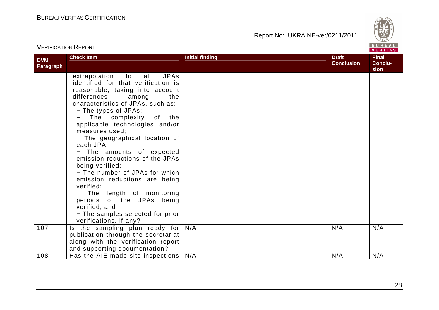

|                                | <b>VERIFICATION REPORT</b>                                                                                                                                                                                                                                                                                                                                                                                                                                                                                                                                                                                                                             |                        |                                   | VERITAS                         |  |
|--------------------------------|--------------------------------------------------------------------------------------------------------------------------------------------------------------------------------------------------------------------------------------------------------------------------------------------------------------------------------------------------------------------------------------------------------------------------------------------------------------------------------------------------------------------------------------------------------------------------------------------------------------------------------------------------------|------------------------|-----------------------------------|---------------------------------|--|
| <b>DVM</b><br><b>Paragraph</b> | <b>Check Item</b>                                                                                                                                                                                                                                                                                                                                                                                                                                                                                                                                                                                                                                      | <b>Initial finding</b> | <b>Draft</b><br><b>Conclusion</b> | <b>Final</b><br>Conclu-<br>sion |  |
|                                | <b>JPAs</b><br>all<br>extrapolation<br>to<br>identified for that verification is<br>reasonable, taking into account<br>differences<br>among<br>the<br>characteristics of JPAs, such as:<br>- The types of JPAs;<br>The complexity of the<br>applicable technologies and/or<br>measures used;<br>- The geographical location of<br>each JPA;<br>The amounts of expected<br>emission reductions of the JPAs<br>being verified;<br>- The number of JPAs for which<br>emission reductions are being<br>verified;<br>- The length of monitoring<br>periods of the JPAs being<br>verified; and<br>- The samples selected for prior<br>verifications, if any? |                        |                                   |                                 |  |
| 107                            | Is the sampling plan ready for<br>publication through the secretariat<br>along with the verification report<br>and supporting documentation?                                                                                                                                                                                                                                                                                                                                                                                                                                                                                                           | N/A                    | N/A                               | N/A                             |  |
| 108                            | Has the AIE made site inspections                                                                                                                                                                                                                                                                                                                                                                                                                                                                                                                                                                                                                      | N/A                    | N/A                               | N/A                             |  |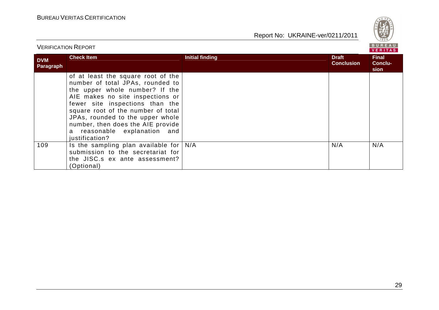

|                         | VERIFICATION REPORT                                                                                                                                                                                                                                                                                                                              |                        |                                   | VERITAS                                |
|-------------------------|--------------------------------------------------------------------------------------------------------------------------------------------------------------------------------------------------------------------------------------------------------------------------------------------------------------------------------------------------|------------------------|-----------------------------------|----------------------------------------|
| <b>DVM</b><br>Paragraph | <b>Check Item</b>                                                                                                                                                                                                                                                                                                                                | <b>Initial finding</b> | <b>Draft</b><br><b>Conclusion</b> | <b>Final</b><br><b>Conclu-</b><br>sion |
|                         | of at least the square root of the<br>number of total JPAs, rounded to<br>the upper whole number? If the<br>AIE makes no site inspections or<br>fewer site inspections than the<br>square root of the number of total<br>JPAs, rounded to the upper whole<br>number, then does the AIE provide<br>a reasonable explanation and<br>justification? |                        |                                   |                                        |
| 109                     | Is the sampling plan available for $N/A$<br>submission to the secretariat for<br>the JISC.s ex ante assessment?<br>(Optional)                                                                                                                                                                                                                    |                        | N/A                               | N/A                                    |

VERIFICATION REPORT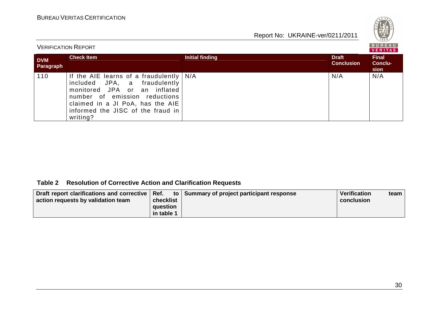

| <b>VERIFICATION REPORT</b> |                                                                                                                                                                                                                                 |                 |                                   | <b>BUKEAU</b><br><b>VERITAS</b>        |
|----------------------------|---------------------------------------------------------------------------------------------------------------------------------------------------------------------------------------------------------------------------------|-----------------|-----------------------------------|----------------------------------------|
| <b>DVM</b><br>Paragraph    | <b>Check Item</b>                                                                                                                                                                                                               | Initial finding | <b>Draft</b><br><b>Conclusion</b> | <b>Final</b><br><b>Conclu-</b><br>sion |
| 110                        | If the AIE learns of a fraudulently $N/A$<br>included JPA, a fraudulently<br>monitored JPA or an inflated<br>number of emission reductions<br>claimed in a JI PoA, has the AIE<br>informed the JISC of the fraud in<br>writing? |                 | N/A                               | N/A                                    |

#### **Table 2 Resolution of Corrective Action and Clarification Requests**

| Draft report clarifications and corrective   Ref. |            | to Summary of project participant response | Verification | team. |
|---------------------------------------------------|------------|--------------------------------------------|--------------|-------|
| action requests by validation team                | checklist  |                                            | conclusion   |       |
|                                                   | question   |                                            |              |       |
|                                                   | in table 1 |                                            |              |       |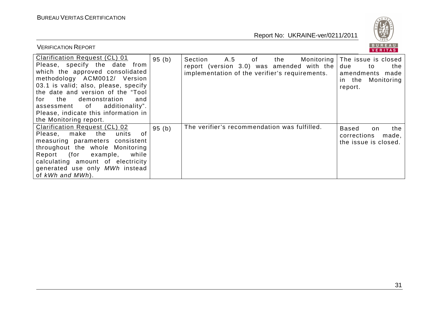VERIFICATION REPORT



| <b>Clarification Request (CL) 01</b><br>Please, specify the date from<br>which the approved consolidated<br>methodology ACM0012/ Version<br>03.1 is valid; also, please, specify<br>the date and version of the "Tool<br>demonstration<br>for<br>the<br>and<br>assessment of additionality".<br>Please, indicate this information in<br>the Monitoring report. | 95(b) | Section<br>A.5 of<br>The issue is closed<br>the<br>Monitoring  <br>report (version 3.0) was amended with the<br>due<br>the<br>to<br>implementation of the verifier's requirements.<br>amendments<br>made<br>in the Monitoring<br>report. |
|----------------------------------------------------------------------------------------------------------------------------------------------------------------------------------------------------------------------------------------------------------------------------------------------------------------------------------------------------------------|-------|------------------------------------------------------------------------------------------------------------------------------------------------------------------------------------------------------------------------------------------|
| Clarification Request (CL) 02<br>Please, make<br>the<br>of.<br>units<br>measuring parameters consistent<br>throughout the whole Monitoring<br>Report (for example,<br>while<br>calculating amount of electricity<br>generated use only MWh instead<br>of $kWh$ and $MWh$ ).                                                                                    | 95(b) | The verifier's recommendation was fulfilled.<br><b>Based</b><br>the<br>on<br>corrections<br>made,<br>the issue is closed.                                                                                                                |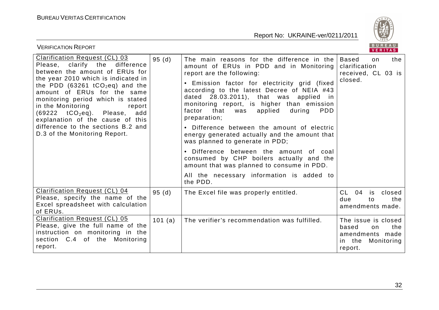

| BUREAU<br><b>VERIFICATION REPORT</b><br><b>VERITAS</b>                                                                                                                                                                                                                                                                                                                                                                                          |         |                                                                                                                                                                                                                                                                                                                                                                                                                                                                                                                                                                                                                                                                       |                                                                                                  |  |
|-------------------------------------------------------------------------------------------------------------------------------------------------------------------------------------------------------------------------------------------------------------------------------------------------------------------------------------------------------------------------------------------------------------------------------------------------|---------|-----------------------------------------------------------------------------------------------------------------------------------------------------------------------------------------------------------------------------------------------------------------------------------------------------------------------------------------------------------------------------------------------------------------------------------------------------------------------------------------------------------------------------------------------------------------------------------------------------------------------------------------------------------------------|--------------------------------------------------------------------------------------------------|--|
| <b>Clarification Request (CL) 03</b><br>Please, clarify the<br>difference<br>between the amount of ERUs for<br>the year 2010 which is indicated in<br>the PDD (63261 $tCO_2$ eq) and the<br>amount of ERUs for the same<br>monitoring period which is stated<br>in the Monitoring<br>report<br>$(69222 \tto CO2eq)$ . Please,<br>add<br>explanation of the cause of this<br>difference to the sections B.2 and<br>D.3 of the Monitoring Report. | 95(d)   | The main reasons for the difference in the<br>amount of ERUs in PDD and in Monitoring<br>report are the following:<br>• Emission factor for electricity grid (fixed<br>according to the latest Decree of NEIA #43<br>dated 28.03.2011), that was applied<br>in.<br>monitoring report, is higher than emission<br>factor<br>that<br>applied<br>during<br>PDD<br>was<br>preparation;<br>• Difference between the amount of electric<br>energy generated actually and the amount that<br>was planned to generate in PDD;<br>Difference between the amount of coal<br>$\bullet$<br>consumed by CHP boilers actually and the<br>amount that was planned to consume in PDD. | <b>Based</b><br>the<br>on.<br>clarification<br>received, CL 03 is<br>closed.                     |  |
|                                                                                                                                                                                                                                                                                                                                                                                                                                                 |         | All the necessary information is added to<br>the PDD.                                                                                                                                                                                                                                                                                                                                                                                                                                                                                                                                                                                                                 |                                                                                                  |  |
| <b>Clarification Request (CL) 04</b><br>Please, specify the name of the<br>Excel spreadsheet with calculation<br>of ERUs.                                                                                                                                                                                                                                                                                                                       | 95(d)   | The Excel file was properly entitled.                                                                                                                                                                                                                                                                                                                                                                                                                                                                                                                                                                                                                                 | CL<br>04<br>is<br>closed<br>due<br>the<br>to<br>amendments made.                                 |  |
| <b>Clarification Request (CL) 05</b><br>Please, give the full name of the<br>instruction on monitoring in the<br>section C.4 of the Monitoring<br>report.                                                                                                                                                                                                                                                                                       | 101 (a) | The verifier's recommendation was fulfilled.                                                                                                                                                                                                                                                                                                                                                                                                                                                                                                                                                                                                                          | The issue is closed<br>the<br>based<br>on.<br>amendments made<br>Monitoring<br>in the<br>report. |  |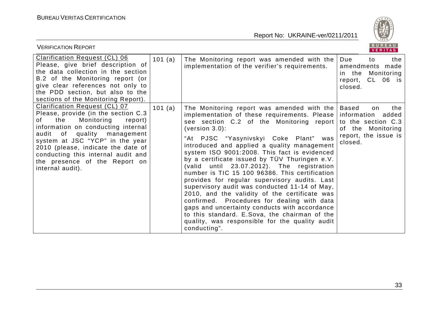

| <b>VERIFICATION REPORT</b>                                                                                                                                                                                                                                                                                                                                       |         |                                                                                                                                                                                                                                                                                                                                                                                                                                                                                                                                                                                                                                                                                                                                                                                                                         | BUREAU<br>VERITAS                                                                                                        |
|------------------------------------------------------------------------------------------------------------------------------------------------------------------------------------------------------------------------------------------------------------------------------------------------------------------------------------------------------------------|---------|-------------------------------------------------------------------------------------------------------------------------------------------------------------------------------------------------------------------------------------------------------------------------------------------------------------------------------------------------------------------------------------------------------------------------------------------------------------------------------------------------------------------------------------------------------------------------------------------------------------------------------------------------------------------------------------------------------------------------------------------------------------------------------------------------------------------------|--------------------------------------------------------------------------------------------------------------------------|
| <b>Clarification Request (CL) 06</b><br>Please, give brief description of<br>the data collection in the section<br>B.2 of the Monitoring report (or<br>give clear references not only to<br>the PDD section, but also to the<br>sections of the Monitoring Report).                                                                                              | 101 (a) | The Monitoring report was amended with the<br>implementation of the verifier's requirements.                                                                                                                                                                                                                                                                                                                                                                                                                                                                                                                                                                                                                                                                                                                            | Due<br>the<br>to<br>amendments made<br>Monitoring<br>in the<br>CL 06 is<br>report,<br>closed.                            |
| <b>Clarification Request (CL) 07</b><br>Please, provide (in the section C.3<br>Monitoring<br>the<br>report)<br>of<br>information on conducting internal<br>quality<br>audit of<br>management<br>system at JSC "YCP" in the year<br>2010 (please, indicate the date of<br>conducting this internal audit and<br>the presence of the Report on<br>internal audit). | 101(a)  | The Monitoring report was amended with the<br>implementation of these requirements. Please<br>see section C.2 of the Monitoring report<br>(version 3.0):<br>"At PJSC "Yasynivskyi Coke Plant" was<br>introduced and applied a quality management<br>system ISO 9001:2008. This fact is evidenced<br>by a certificate issued by TÜV Thuringen e.V.<br>(valid until 23.07.2012). The registration<br>number is TIC 15 100 96386. This certification<br>provides for regular supervisory audits. Last<br>supervisory audit was conducted 11-14 of May,<br>2010, and the validity of the certificate was<br>confirmed. Procedures for dealing with data<br>gaps and uncertainty conducts with accordance<br>to this standard. E.Sova, the chairman of the<br>quality, was responsible for the quality audit<br>conducting". | Based<br>the<br>on<br>information<br>added<br>to the section C.3<br>of the Monitoring<br>report, the issue is<br>closed. |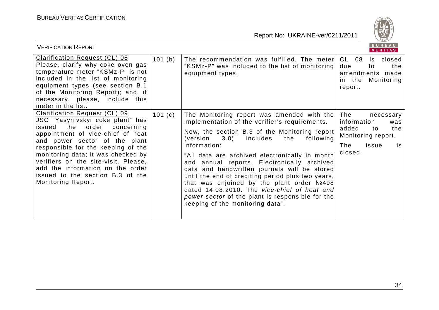

| <b>VERIFICATION REPORT</b>                                                                                                                                                                                                                                                                                                                                                               |        |                                                                                                                                                                                                                                                                                                                                                                                                                                                                                                                                                                                                              | BUREAU<br><b>VERITAS</b>                                                                                            |
|------------------------------------------------------------------------------------------------------------------------------------------------------------------------------------------------------------------------------------------------------------------------------------------------------------------------------------------------------------------------------------------|--------|--------------------------------------------------------------------------------------------------------------------------------------------------------------------------------------------------------------------------------------------------------------------------------------------------------------------------------------------------------------------------------------------------------------------------------------------------------------------------------------------------------------------------------------------------------------------------------------------------------------|---------------------------------------------------------------------------------------------------------------------|
| <b>Clarification Request (CL) 08</b><br>Please, clarify why coke oven gas<br>temperature meter "KSMz-P" is not<br>included in the list of monitoring<br>equipment types (see section B.1)<br>of the Monitoring Report); and, if<br>necessary, please, include this<br>meter in the list.                                                                                                 | 101(b) | The recommendation was fulfilled. The meter<br>"KSMz-P" was included to the list of monitoring<br>equipment types.                                                                                                                                                                                                                                                                                                                                                                                                                                                                                           | CL<br>08<br>closed<br>is.<br>due<br>the<br>to<br>amendments made<br>Monitoring<br>in the<br>report.                 |
| Clarification Request (CL) 09<br>JSC "Yasynivskyi coke plant" has<br>issued the order concerning<br>appointment of vice-chief of heat<br>and power sector of the plant<br>responsible for the keeping of the<br>monitoring data; it was checked by<br>verifiers on the site-visit. Please,<br>add the information on the order<br>issued to the section B.3 of the<br>Monitoring Report. | 101(c) | The Monitoring report was amended with the<br>implementation of the verifier's requirements.<br>Now, the section B.3 of the Monitoring report<br>includes<br>following<br>(version<br>3.0)<br>the<br>information:<br>"All data are archived electronically in month<br>and annual reports. Electronically archived<br>data and handwritten journals will be stored<br>until the end of crediting period plus two years,<br>that was enjoined by the plant order №498<br>dated 14.08.2010. The vice-chief of heat and<br>power sector of the plant is responsible for the<br>keeping of the monitoring data". | The<br>necessary<br>information<br>was<br>added<br>the<br>to<br>Monitoring report.<br>The<br>issue<br>is<br>closed. |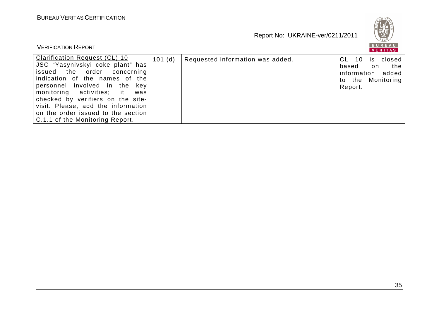

| <b>VERIFICATION REPORT</b>                                                                                                                                                                                                                                                                                                                                         |        |                                  |                                              | BUREAU<br>VERITAS                                              |
|--------------------------------------------------------------------------------------------------------------------------------------------------------------------------------------------------------------------------------------------------------------------------------------------------------------------------------------------------------------------|--------|----------------------------------|----------------------------------------------|----------------------------------------------------------------|
| <b>Clarification Request (CL) 10</b><br>JSC "Yasynivskyi coke plant" has<br>issued the order concerning<br>indication of the names of the<br>personnel involved in the key<br>monitoring activities; it<br>was<br>checked by verifiers on the site-<br>visit. Please, add the information<br>on the order issued to the section<br>C.1.1 of the Monitoring Report. | 101(d) | Requested information was added. | CL.<br>10<br>based<br>information<br>Report. | closed<br><b>IS</b><br>the<br>on<br>added<br>to the Monitoring |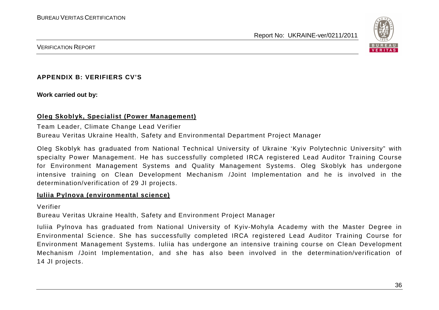

VERIFICATION REPORT

#### **APPENDIX B: VERIFIERS CV'S**

**Work carried out by:** 

#### **Oleg Skoblyk, Specialist (Power Management)**

#### Team Leader, Climate Change Lead Verifier

Bureau Veritas Ukraine Health, Safety and Environmental Department Project Manager

Oleg Skoblyk has graduated from National Technical University of Ukraine 'Kyiv Polytechnic University" with specialty Power Management. He has successfully completed IRCA registered Lead Auditor Training Course for Environment Management Systems and Quality Management Systems. Oleg Skoblyk has undergone intensive training on Clean Development Mechanism /Joint Implementation and he is involved in the determination/verification of 29 JI projects.

#### **Iuliia Pylnova (environmental science)**

Verifier

Bureau Veritas Ukraine Health, Safety and Environment Project Manager

Iuliia Pylnova has graduated from National University of Kyiv-Mohyla Academy with the Master Degree in Environmental Science. She has successfully completed IRCA registered Lead Auditor Training Course forEnvironment Management Systems. Iuliia has undergone an intensive training course on Clean DevelopmentMechanism /Joint Implementation, and she has also been involved in the determination/verification of 14 JI projects.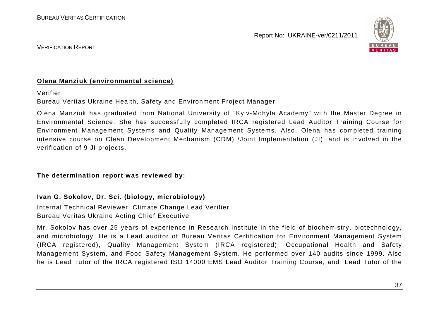

#### VERIFICATION REPORT

#### **Olena Manziuk (environmental science)**

Verifier

Bureau Veritas Ukraine Health, Safety and Environment Project Manager

Olena Manziuk has graduated from National University of "Kyiv-Mohyla Academy" with the Master Degree in Environmental Science. She has successfully completed IRCA registered Lead Auditor Training Course forEnvironment Management Systems and Quality Management Systems. Also, Olena has completed training intensive course on Clean Development Mechanism (CDM) /Joint Implementation (JI), and is involved in the verification of 9 JI projects.

**The determination report was reviewed by:** 

**Ivan G. Sokolov, Dr. Sci. (biology, microbiology)** 

Internal Technical Reviewer, Climate Change Lead Verifier Bureau Veritas Ukraine Acting Chief Executive

Mr. Sokolov has over 25 years of experience in Research Institute in the field of biochemistry, biotechnology, and microbiology. He is a Lead auditor of Bureau Veritas Certification for Environment Management System (IRCA registered), Quality Management System (IRCA registered), Occupational Health and Safety Management System, and Food Safety Management System. He performed over 140 audits since 1999. Also he is Lead Tutor of the IRCA registered ISO 14000 EMS Lead Auditor Training Course, and Lead Tutor of the